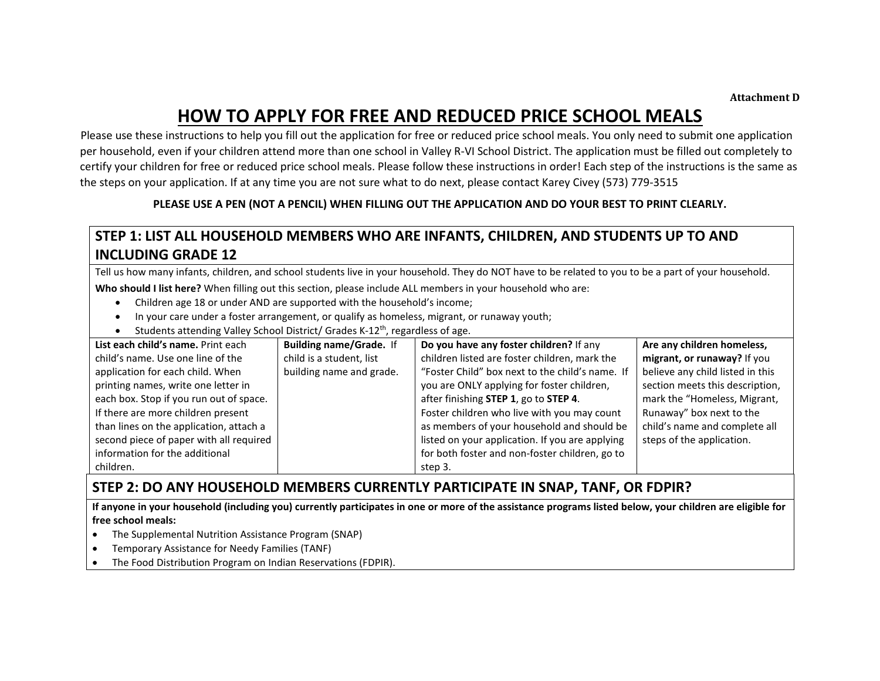#### **Attachment D**

# **HOW TO APPLY FOR FREE AND REDUCED PRICE SCHOOL MEALS**

 Please use these instructions to help you fill out the application for free or reduced price school meals. You only need to submit one application per household, even if your children attend more than one school in Valley R-VI School District. The application must be filled out completely to certify your children for free or reduced price school meals. Please follow these instructions in order! Each step of the instructions is the same as the steps on your application. If at any time you are not sure what to do next, please contact Karey Civey (573) 779-3515

#### **PLEASE USE A PEN (NOT A PENCIL) WHEN FILLING OUT THE APPLICATION AND DO YOUR BEST TO PRINT CLEARLY.**

## **STEP 1: LIST ALL HOUSEHOLD MEMBERS WHO ARE INFANTS, CHILDREN, AND STUDENTS UP TO AND INCLUDING GRADE 12**

Tell us how many infants, children, and school students live in your household. They do NOT have to be related to you to be a part of your household. **Who should I list here?** When filling out this section, please include ALL members in your household who are:

- Children age 18 or under AND are supported with the household's income;
- In your care under a foster arrangement, or qualify as homeless, migrant, or runaway youth;
- Students attending Valley School District/ Grades K-12th, regardless of age.

| List each child's name. Print each      | <b>Building name/Grade.</b> If | Do you have any foster children? If any         | Are any children homeless,       |
|-----------------------------------------|--------------------------------|-------------------------------------------------|----------------------------------|
| child's name. Use one line of the       | child is a student, list       | children listed are foster children, mark the   | migrant, or runaway? If you      |
| application for each child. When        | building name and grade.       | "Foster Child" box next to the child's name. If | believe any child listed in this |
| printing names, write one letter in     |                                | you are ONLY applying for foster children,      | section meets this description,  |
| each box. Stop if you run out of space. |                                | after finishing STEP 1, go to STEP 4.           | mark the "Homeless, Migrant,     |
| If there are more children present      |                                | Foster children who live with you may count     | Runaway" box next to the         |
| than lines on the application, attach a |                                | as members of your household and should be      | child's name and complete all    |
| second piece of paper with all required |                                | listed on your application. If you are applying | steps of the application.        |
| information for the additional          |                                | for both foster and non-foster children, go to  |                                  |
| children.                               |                                | step 3.                                         |                                  |

### **STEP 2: DO ANY HOUSEHOLD MEMBERS CURRENTLY PARTICIPATE IN SNAP, TANF, OR FDPIR?**

**If anyone in your household (including you) currently participates in one or more of the assistance programs listed below, your children are eligible for free school meals:**

- The Supplemental Nutrition Assistance Program (SNAP)
- Temporary Assistance for Needy Families (TANF)
- The Food Distribution Program on Indian Reservations (FDPIR).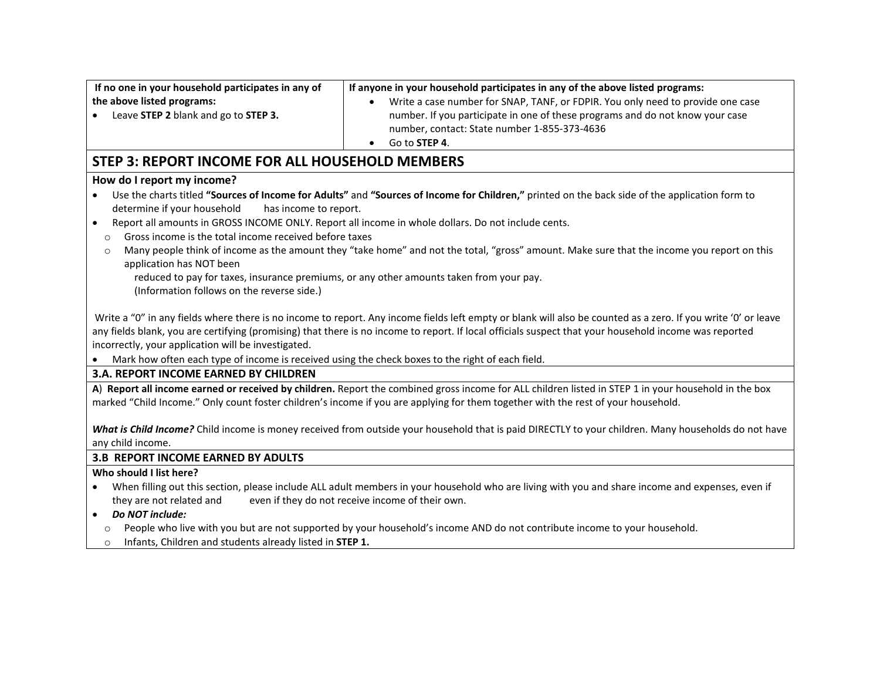| If no one in your household participates in any of<br>the above listed programs:<br>Leave STEP 2 blank and go to STEP 3.                                                  | If anyone in your household participates in any of the above listed programs:<br>Write a case number for SNAP, TANF, or FDPIR. You only need to provide one case<br>number. If you participate in one of these programs and do not know your case<br>number, contact: State number 1-855-373-4636<br>Go to STEP 4.<br>٠ |  |  |  |
|---------------------------------------------------------------------------------------------------------------------------------------------------------------------------|-------------------------------------------------------------------------------------------------------------------------------------------------------------------------------------------------------------------------------------------------------------------------------------------------------------------------|--|--|--|
| <b>STEP 3: REPORT INCOME FOR ALL HOUSEHOLD MEMBERS</b>                                                                                                                    |                                                                                                                                                                                                                                                                                                                         |  |  |  |
| How do I report my income?                                                                                                                                                |                                                                                                                                                                                                                                                                                                                         |  |  |  |
| $\bullet$<br>determine if your household<br>has income to report.<br>$\bullet$                                                                                            | Use the charts titled "Sources of Income for Adults" and "Sources of Income for Children," printed on the back side of the application form to<br>Report all amounts in GROSS INCOME ONLY. Report all income in whole dollars. Do not include cents.                                                                    |  |  |  |
| Gross income is the total income received before taxes<br>$\circ$                                                                                                         |                                                                                                                                                                                                                                                                                                                         |  |  |  |
| $\circ$<br>application has NOT been                                                                                                                                       | Many people think of income as the amount they "take home" and not the total, "gross" amount. Make sure that the income you report on this                                                                                                                                                                              |  |  |  |
| (Information follows on the reverse side.)                                                                                                                                | reduced to pay for taxes, insurance premiums, or any other amounts taken from your pay.                                                                                                                                                                                                                                 |  |  |  |
| incorrectly, your application will be investigated.                                                                                                                       | Write a "0" in any fields where there is no income to report. Any income fields left empty or blank will also be counted as a zero. If you write '0' or leave<br>any fields blank, you are certifying (promising) that there is no income to report. If local officials suspect that your household income was reported |  |  |  |
| Mark how often each type of income is received using the check boxes to the right of each field.<br>$\bullet$                                                             |                                                                                                                                                                                                                                                                                                                         |  |  |  |
| <b>3.A. REPORT INCOME EARNED BY CHILDREN</b>                                                                                                                              |                                                                                                                                                                                                                                                                                                                         |  |  |  |
|                                                                                                                                                                           | A) Report all income earned or received by children. Report the combined gross income for ALL children listed in STEP 1 in your household in the box                                                                                                                                                                    |  |  |  |
|                                                                                                                                                                           | marked "Child Income." Only count foster children's income if you are applying for them together with the rest of your household.                                                                                                                                                                                       |  |  |  |
| What is Child Income? Child income is money received from outside your household that is paid DIRECTLY to your children. Many households do not have<br>any child income. |                                                                                                                                                                                                                                                                                                                         |  |  |  |
| <b>3.B REPORT INCOME EARNED BY ADULTS</b>                                                                                                                                 |                                                                                                                                                                                                                                                                                                                         |  |  |  |
| Who should I list here?                                                                                                                                                   |                                                                                                                                                                                                                                                                                                                         |  |  |  |
| they are not related and<br>Do NOT include:<br>$\bullet$                                                                                                                  | When filling out this section, please include ALL adult members in your household who are living with you and share income and expenses, even if<br>even if they do not receive income of their own.                                                                                                                    |  |  |  |

- o People who live with you but are not supported by your household's income AND do not contribute income to your household.
- o Infants, Children and students already listed in **STEP 1.**